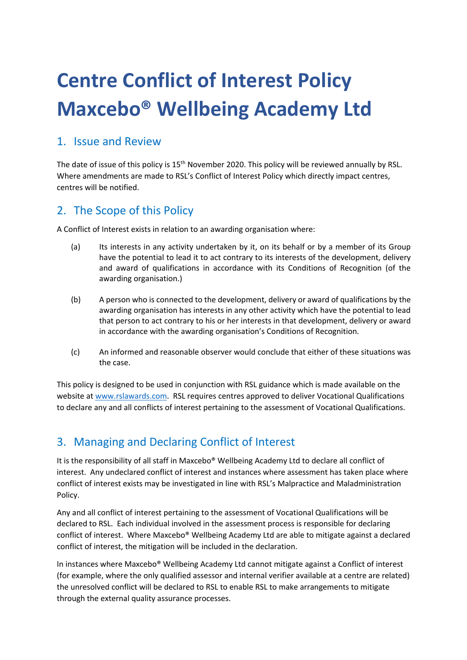# **Centre Conflict of Interest Policy Maxcebo® Wellbeing Academy Ltd**

#### 1. Issue and Review

The date of issue of this policy is 15<sup>th</sup> November 2020. This policy will be reviewed annually by RSL. Where amendments are made to RSL's Conflict of Interest Policy which directly impact centres, centres will be notified.

### 2. The Scope of this Policy

A Conflict of Interest exists in relation to an awarding organisation where:

- (a) Its interests in any activity undertaken by it, on its behalf or by a member of its Group have the potential to lead it to act contrary to its interests of the development, delivery and award of qualifications in accordance with its Conditions of Recognition (of the awarding organisation.)
- (b) A person who is connected to the development, delivery or award of qualifications by the awarding organisation has interests in any other activity which have the potential to lead that person to act contrary to his or her interests in that development, delivery or award in accordance with the awarding organisation's Conditions of Recognition.
- (c) An informed and reasonable observer would conclude that either of these situations was the case.

This policy is designed to be used in conjunction with RSL guidance which is made available on the website at www.rslawards.com. RSL requires centres approved to deliver Vocational Qualifications to declare any and all conflicts of interest pertaining to the assessment of Vocational Qualifications.

### 3. Managing and Declaring Conflict of Interest

It is the responsibility of all staff in Maxcebo® Wellbeing Academy Ltd to declare all conflict of interest. Any undeclared conflict of interest and instances where assessment has taken place where conflict of interest exists may be investigated in line with RSL's Malpractice and Maladministration Policy.

Any and all conflict of interest pertaining to the assessment of Vocational Qualifications will be declared to RSL. Each individual involved in the assessment process is responsible for declaring conflict of interest. Where Maxcebo® Wellbeing Academy Ltd are able to mitigate against a declared conflict of interest, the mitigation will be included in the declaration.

In instances where Maxcebo® Wellbeing Academy Ltd cannot mitigate against a Conflict of interest (for example, where the only qualified assessor and internal verifier available at a centre are related) the unresolved conflict will be declared to RSL to enable RSL to make arrangements to mitigate through the external quality assurance processes.